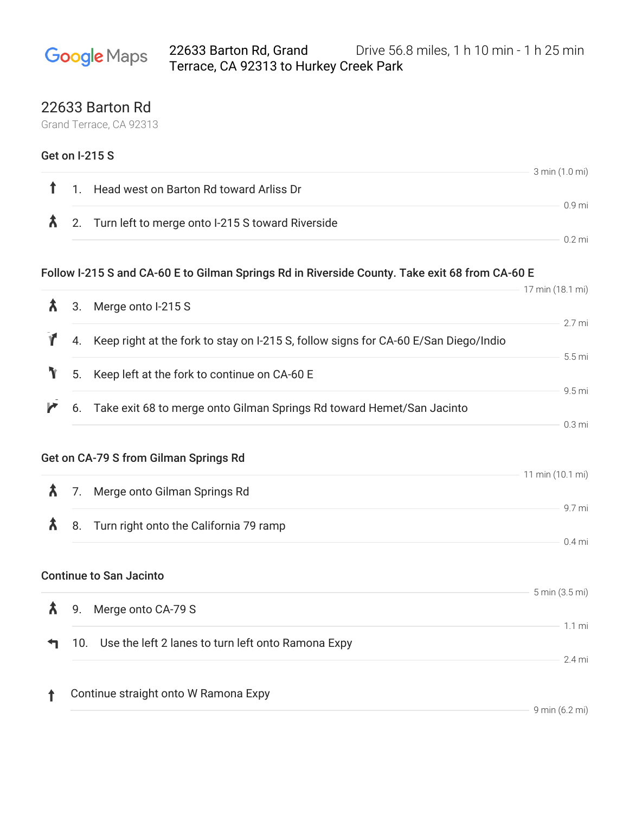## 22633 Barton Rd, Grand Drive 56.8 miles, 1 h 10 min - 1 h 25 min **Google** Maps Terrace, CA 92313 to Hurkey Creek Park

## 22633 Barton Rd

Grand Terrace, CA 92313

|   |     | <b>Get on I-215 S</b>                                                                          |                   |
|---|-----|------------------------------------------------------------------------------------------------|-------------------|
| ↑ |     | 1. Head west on Barton Rd toward Arliss Dr                                                     | 3 min (1.0 mi)    |
| Â |     | 2. Turn left to merge onto I-215 S toward Riverside                                            | 0.9 <sub>mi</sub> |
|   |     |                                                                                                | $0.2$ mi          |
|   |     | Follow I-215 S and CA-60 E to Gilman Springs Rd in Riverside County. Take exit 68 from CA-60 E |                   |
| λ |     |                                                                                                | 17 min (18.1 mi)  |
|   | 3.  | Merge onto I-215 S                                                                             | 2.7 mi            |
|   |     | 4. Keep right at the fork to stay on I-215 S, follow signs for CA-60 E/San Diego/Indio         |                   |
| Y | 5.  | Keep left at the fork to continue on CA-60 E                                                   | 5.5 <sub>mi</sub> |
| r |     | 6. Take exit 68 to merge onto Gilman Springs Rd toward Hemet/San Jacinto                       | 9.5 mi            |
|   |     |                                                                                                | 0.3 <sub>mi</sub> |
|   |     | Get on CA-79 S from Gilman Springs Rd                                                          |                   |
|   |     |                                                                                                | 11 min (10.1 mi)  |
| λ | 7.  | Merge onto Gilman Springs Rd                                                                   | 9.7 mi            |
| Â | 8.  | Turn right onto the California 79 ramp                                                         |                   |
|   |     |                                                                                                | $0.4$ mi          |
|   |     | <b>Continue to San Jacinto</b>                                                                 |                   |
|   |     | $\lambda$ 9. Merge onto CA-79 S                                                                | 5 min (3.5 mi)    |
|   |     |                                                                                                | 1.1 <sub>m</sub>  |
|   | 10. | Use the left 2 lanes to turn left onto Ramona Expy                                             | 2.4 mi            |
|   |     |                                                                                                |                   |
| T |     | Continue straight onto W Ramona Expy                                                           | 9 min (6.2 mi)    |